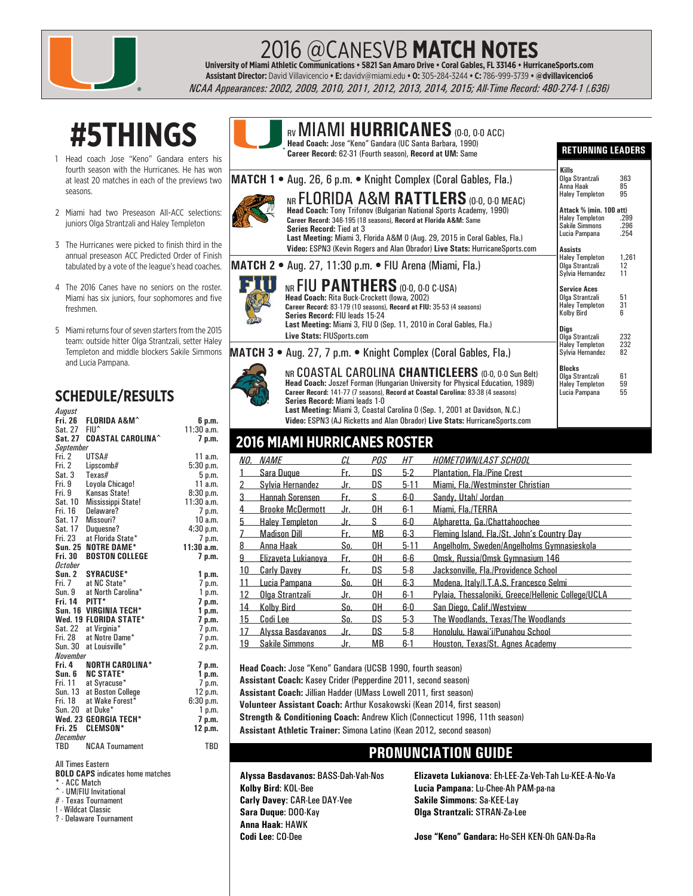

## 2016 @CANESVB **MATCH NOTES University of Miami Athletic Communications • 5821 San Amaro Drive • Coral Gables, FL 33146 • HurricaneSports.com**

**Assistant Director:** David Villavicencio **• E:** davidv@miami.edu **• O:** 305-284-3244 **• C:** 786-999-3739 **• @dvillavicencio6**

*NCAA Appearances: 2002, 2009, 2010, 2011, 2012, 2013, 2014, 2015; All-Time Record: 480-274-1 (.636)*

## **#5THINGS**

- 1 Head coach Jose "Keno" Gandara enters his fourth season with the Hurricanes. He has won at least 20 matches in each of the previews two seasons.
- 2 Miami had two Preseason All-ACC selections: juniors Olga Strantzali and Haley Templeton
- 3 The Hurricanes were picked to finish third in the annual preseason ACC Predicted Order of Finish tabulated by a vote of the league's head coaches.
- 4 The 2016 Canes have no seniors on the roster. Miami has six juniors, four sophomores and five freshmen.
- 5 Miami returns four of seven starters from the 2015 team: outside hitter Olga Strantzali, setter Haley Templeton and middle blockers Sakile Simmons and Lucia Pampana.

#### **SCHEDULE/RESULTS**

| August                                                                    |                           |                   |  |  |  |  |  |  |
|---------------------------------------------------------------------------|---------------------------|-------------------|--|--|--|--|--|--|
| Fri. 26                                                                   | <b>FLORIDA A&amp;M^</b>   | 6 p.m.            |  |  |  |  |  |  |
| Sat. 27 FIU^                                                              |                           | 11:30 a.m.        |  |  |  |  |  |  |
| Sat. 27                                                                   | <b>COASTAL CAROLINA^</b>  | 7 p.m.            |  |  |  |  |  |  |
| September                                                                 |                           |                   |  |  |  |  |  |  |
| Fri. 2                                                                    | UTSA#                     | 11 a.m.           |  |  |  |  |  |  |
| Fri. 2                                                                    | Lipscomb#                 | 5:30 p.m.         |  |  |  |  |  |  |
| Sat. 3                                                                    | Texas#                    | 5 p.m.            |  |  |  |  |  |  |
| Fri. 9                                                                    | Loyola Chicago!           | 11a.m.            |  |  |  |  |  |  |
| Fri. 9                                                                    | Kansas State!             | 8:30 p.m.         |  |  |  |  |  |  |
| Sat. 10                                                                   | Mississippi State!        | 11:30 a.m.        |  |  |  |  |  |  |
| Fri. 16                                                                   | Delaware?                 | 7 p.m.            |  |  |  |  |  |  |
| Sat. 17                                                                   | Missouri?                 | 10 a.m.           |  |  |  |  |  |  |
| Sat. 17                                                                   | Duguesne?                 | 4:30 p.m.         |  |  |  |  |  |  |
| Fri. 23                                                                   | at Florida State*         | 7 p.m.            |  |  |  |  |  |  |
| <b>Sun. 25</b>                                                            | <b>NOTRE DAME*</b>        | 11:30 a.m.        |  |  |  |  |  |  |
| <b>Fri. 30</b>                                                            | <b>BOSTON COLLEGE</b>     | 7 p.m.            |  |  |  |  |  |  |
| October                                                                   |                           |                   |  |  |  |  |  |  |
| Sun. 2                                                                    | <b>SYRACUSE*</b>          | 1 p.m.            |  |  |  |  |  |  |
| Fri. 7                                                                    | at NC State*              | 7 p.m.            |  |  |  |  |  |  |
| Sun. 9                                                                    | at North Carolina*        | 1 p.m.            |  |  |  |  |  |  |
| Fri. 14                                                                   | PITT*                     | 7 p.m.            |  |  |  |  |  |  |
|                                                                           | Sun. 16 VIRGINIA TECH*    | 1 p.m.            |  |  |  |  |  |  |
|                                                                           | Wed. 19 FLORIDA STATE*    | 7 p.m.            |  |  |  |  |  |  |
| Sat. 22                                                                   | at Virginia*              | 7 p.m.            |  |  |  |  |  |  |
| Fri. 28                                                                   | at Notre Dame*            | 7 p.m.            |  |  |  |  |  |  |
| <b>Sun. 30</b>                                                            | at Louisville*            | 2 p.m.            |  |  |  |  |  |  |
| November                                                                  |                           |                   |  |  |  |  |  |  |
| Fri. 4                                                                    | <b>NORTH CAROLINA*</b>    | 7 p.m.            |  |  |  |  |  |  |
|                                                                           | Sun. 6 NC STATE*          | 1 p.m.            |  |  |  |  |  |  |
| Fri. 11                                                                   | at Syracuse*              | 7 p.m.            |  |  |  |  |  |  |
|                                                                           | Sun. 13 at Boston College | 12 p.m.           |  |  |  |  |  |  |
| Fri. 18                                                                   | at Wake Forest*           | 6:30 p.m.         |  |  |  |  |  |  |
|                                                                           | Sun. 20 at Duke*          | 1 <sub>p.m.</sub> |  |  |  |  |  |  |
|                                                                           | Wed. 23 GEORGIA TECH*     | 7 p.m.            |  |  |  |  |  |  |
| <b>Fri. 25</b>                                                            | <b>CLEMSON*</b>           | 12 p.m.           |  |  |  |  |  |  |
| December                                                                  |                           |                   |  |  |  |  |  |  |
| TBD                                                                       | <b>NCAA Tournament</b>    | TBD               |  |  |  |  |  |  |
| <b>All Times Eastern</b><br><b>DOLD OADD </b><br>محاطب والمنا<br>المقامين |                           |                   |  |  |  |  |  |  |

**BOLD CAPS** indicates home matches

- ACC Match
- ^ UM/FIU Invitational # - Texas Tournament
- ! Wildcat Classic
- ? Delaware Tournament



#### **RETURNING LEADERS**

|                                                                                                                                                                                                                                                                                                                                                                                     | Kills                                                                                                                                   |                            |
|-------------------------------------------------------------------------------------------------------------------------------------------------------------------------------------------------------------------------------------------------------------------------------------------------------------------------------------------------------------------------------------|-----------------------------------------------------------------------------------------------------------------------------------------|----------------------------|
| <b>MATCH 1 •</b> Aug. 26, 6 p.m. • Knight Complex (Coral Gables, Fla.)                                                                                                                                                                                                                                                                                                              | Olga Strantzali<br>Anna Haak                                                                                                            | 363<br>85                  |
| NR FLORIDA A&M RATTLERS (0.0, 0.0 MEAC)<br>Head Coach: Tony Trifonov (Bulgarian National Sports Academy, 1990)<br>Career Record: 346-195 (18 seasons), Record at Florida A&M: Same<br><b>Series Record: Tied at 3</b><br>Last Meeting: Miami 3, Florida A&M 0 (Aug. 29, 2015 in Coral Gables, Fla.)<br>Video: ESPN3 (Kevin Rogers and Alan Obrador) Live Stats: HurricaneSports.com | <b>Haley Templeton</b><br>Attack % (min. 100 att)<br><b>Haley Templeton</b><br><b>Sakile Simmons</b><br>Lucia Pampana<br><b>Assists</b> | 95<br>.299<br>.296<br>.254 |
| <b>MATCH 2 • Aug. 27, 11:30 p.m. • FIU Arena (Miami, Fla.)</b>                                                                                                                                                                                                                                                                                                                      | <b>Haley Templeton</b><br>Olga Strantzali<br>Sylvia Hernandez                                                                           | 1,261<br>12<br>11          |
| NR FIU PANTHERS (0-0, 0-0 C-USA)<br><b>Head Coach: Rita Buck-Crockett (Iowa, 2002)</b><br>Career Record: 83-179 (10 seasons), Record at FIU: 35-53 (4 seasons)<br><b>Series Record: FIU leads 15-24</b>                                                                                                                                                                             | <b>Service Aces</b><br>Olga Strantzali<br><b>Haley Templeton</b><br><b>Kolby Bird</b>                                                   | 51<br>31<br>հ              |
| Last Meeting: Miami 3, FIU 0 (Sep. 11, 2010 in Coral Gables, Fla.)<br>Live Stats: FIUSports.com                                                                                                                                                                                                                                                                                     | <b>Digs</b><br>Olga Strantzali<br><b>Haley Templeton</b>                                                                                | 232<br>232                 |
| <b>MATCH 3</b> • Aug. 27, 7 p.m. • Knight Complex (Coral Gables, Fla.)                                                                                                                                                                                                                                                                                                              | Sylvia Hernandez                                                                                                                        | 82                         |
| NR COASTAL CAROLINA CHANTICLEERS (0.0, 0.0 Sun Belt)<br>Head Coach: Joszef Forman (Hungarian University for Physical Education, 1989)<br>Career Record: 141-77 (7 seasons), Record at Coastal Carolina: 83-38 (4 seasons)<br>Series Record: Miami leads 1-0                                                                                                                         | <b>Blocks</b><br>Olga Strantzali<br><b>Haley Templeton</b><br>Lucia Pampana                                                             | 61<br>59<br>55             |

**Last Meeting:** Miami 3, Coastal Carolina 0 (Sep. 1, 2001 at Davidson, N.C.) **Video:** ESPN3 (AJ Ricketts and Alan Obrador) **Live Stats:** HurricaneSports.com

#### **2016 MIAMI HURRICANES ROSTER**

|    | <i>NO. NAME</i>         | ΓI  | POS       | HТ       | <i>HOMETOWN/LAST SCHOOL</i>                        |
|----|-------------------------|-----|-----------|----------|----------------------------------------------------|
|    | Sara Dugue              | Fr. | DS        | $5-2$    | <b>Plantation, Fla./Pine Crest</b>                 |
|    | Sylvia Hernandez        | Jr. | DS        | $5-11$   | Miami, Fla./Westminster Christian                  |
| 3  | Hannah Sorensen         | Fr. | S         | 6-0      | Sandy, Utah/ Jordan                                |
|    | <b>Brooke McDermott</b> | Jr. | 0H        | $6-1$    | Miami, Fla./TERRA                                  |
| 5  | <b>Haley Templeton</b>  | Jr. | S         | $6-0$    | Alpharetta, Ga./Chattahoochee                      |
|    | <b>Madison Dill</b>     | Fr. | MВ        | $6-3$    | Fleming Island, Fla./St. John's Country Day        |
| 8  | Anna Haak               | So. | 0H        | $5 - 11$ | Angelholm, Sweden/Angelholms Gymnasieskola         |
| 9  | Elizaveta Lukianova     | Fr. | 0H        | 6-6      | Omsk. Russia/Omsk Gymnasium 146                    |
| 10 | <b>Carly Davey</b>      | Fr. | DS        | $5-8$    | Jacksonville, Fla./Providence School               |
|    | Lucia Pampana           | So. | 0H        | $6-3$    | Modena, Italy/I.T.A.S. Francesco Selmi             |
|    | Olga Strantzali         | Jr. | 0H        | $6-1$    | Pylaia, Thessaloniki, Greece/Hellenic College/UCLA |
| 14 | <b>Kolby Bird</b>       | So. | 0H        | 6-0      | San Diego, Calif./Westview                         |
| 15 | Codi Lee                | So. | DS        | $5-3$    | The Woodlands, Texas/The Woodlands                 |
|    | Alyssa Basdavanos       | Jr. | DS        | $5-8$    | Honolulu, Hawai'i/Punahou School                   |
| 19 | <b>Sakile Simmons</b>   | Jr. | <b>MB</b> | $6-1$    | Houston, Texas/St. Agnes Academy                   |

**Head Coach:** Jose "Keno" Gandara (UCSB 1990, fourth season)

**Assistant Coach:** Kasey Crider (Pepperdine 2011, second season)

Assistant Coach: Jillian Hadder (UMass Lowell 2011, first season)

Volunteer Assistant Coach: Arthur Kosakowski (Kean 2014, first season)

**Strength & Conditioning Coach:** Andrew Klich (Connecticut 1996, 11th season)

**Assistant Athletic Trainer:** Simona Latino (Kean 2012, second season)

#### **PRONUNCIATION GUIDE**

**Carly Davey**: CAR-Lee DAY-Vee **Sakile Simmons**: Sa-KEE-Lay **Sara Duque**: DOO-Kay **Olga Strantzali:** STRAN-Za-Lee **Anna Haak**: HAWK

**Alyssa Basdavanos:** BASS-Dah-Vah-Nos **Elizaveta Lukianova**: Eh-LEE-Za-Veh-Tah Lu-KEE-A-No-Va **Kolby Bird**: KOL-Bee **Lucia Pampana**: Lu-Chee-Ah PAM-pa-na

**Codi Lee**: CO-Dee **Jose "Keno" Gandara:** Ho-SEH KEN-Oh GAN-Da-Ra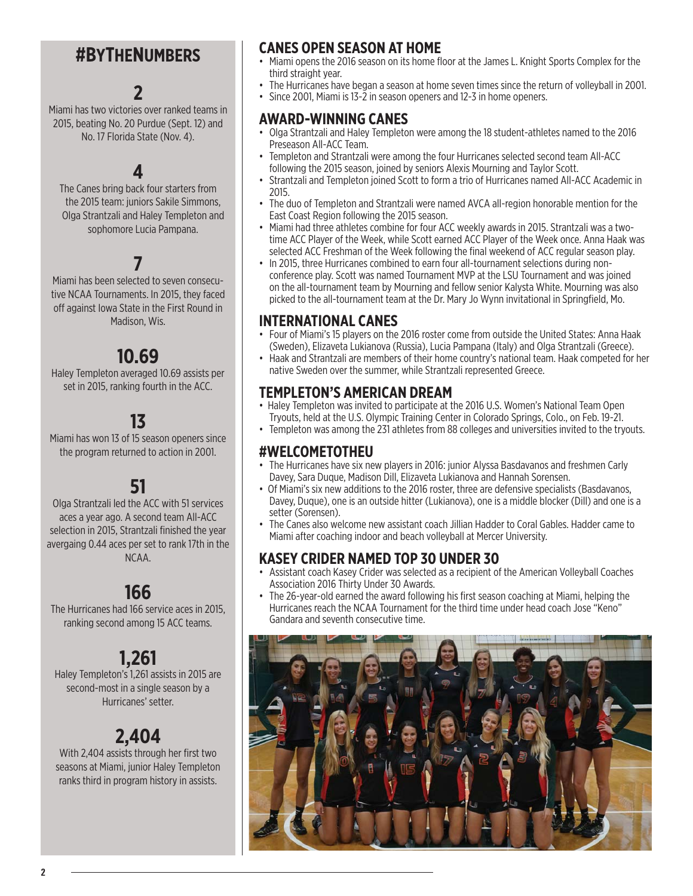### **#BYTHENUMBERS**

### **2**

Miami has two victories over ranked teams in 2015, beating No. 20 Purdue (Sept. 12) and No. 17 Florida State (Nov. 4).

#### **4**

The Canes bring back four starters from the 2015 team: juniors Sakile Simmons, Olga Strantzali and Haley Templeton and sophomore Lucia Pampana.

## **7**

Miami has been selected to seven consecutive NCAA Tournaments. In 2015, they faced off against Iowa State in the First Round in Madison, Wis.

### **10.69**

Haley Templeton averaged 10.69 assists per set in 2015, ranking fourth in the ACC.

## **13**

Miami has won 13 of 15 season openers since the program returned to action in 2001.

## **51**

Olga Strantzali led the ACC with 51 services aces a year ago. A second team All-ACC selection in 2015. Strantzali finished the year avergaing 0.44 aces per set to rank 17th in the NCAA.

## **166**

The Hurricanes had 166 service aces in 2015, ranking second among 15 ACC teams.

## **1,261**

Haley Templeton's 1,261 assists in 2015 are second-most in a single season by a Hurricanes' setter.

## **2,404**

With 2,404 assists through her first two seasons at Miami, junior Haley Templeton ranks third in program history in assists.

#### **CANES OPEN SEASON AT HOME**

- Miami opens the 2016 season on its home floor at the James L. Knight Sports Complex for the third straight year.
- The Hurricanes have began a season at home seven times since the return of volleyball in 2001.
	- Since 2001, Miami is 13-2 in season openers and 12-3 in home openers.

#### **AWARD-WINNING CANES**

- Olga Strantzali and Haley Templeton were among the 18 student-athletes named to the 2016 Preseason All-ACC Team.
- Templeton and Strantzali were among the four Hurricanes selected second team All-ACC following the 2015 season, joined by seniors Alexis Mourning and Taylor Scott.
- Strantzali and Templeton joined Scott to form a trio of Hurricanes named All-ACC Academic in 2015.
- The duo of Templeton and Strantzali were named AVCA all-region honorable mention for the East Coast Region following the 2015 season.
- Miami had three athletes combine for four ACC weekly awards in 2015. Strantzali was a twotime ACC Player of the Week, while Scott earned ACC Player of the Week once. Anna Haak was selected ACC Freshman of the Week following the final weekend of ACC regular season play.
- In 2015, three Hurricanes combined to earn four all-tournament selections during nonconference play. Scott was named Tournament MVP at the LSU Tournament and was joined on the all-tournament team by Mourning and fellow senior Kalysta White. Mourning was also picked to the all-tournament team at the Dr. Mary Jo Wynn invitational in Springfield, Mo.

#### **INTERNATIONAL CANES**

- Four of Miami's 15 players on the 2016 roster come from outside the United States: Anna Haak (Sweden), Elizaveta Lukianova (Russia), Lucia Pampana (Italy) and Olga Strantzali (Greece).
- Haak and Strantzali are members of their home country's national team. Haak competed for her native Sweden over the summer, while Strantzali represented Greece.

#### **TEMPLETON'S AMERICAN DREAM**

- Haley Templeton was invited to participate at the 2016 U.S. Women's National Team Open Tryouts, held at the U.S. Olympic Training Center in Colorado Springs, Colo., on Feb. 19-21.
- Templeton was among the 231 athletes from 88 colleges and universities invited to the tryouts.

#### **#WELCOMETOTHEU**

- The Hurricanes have six new players in 2016: junior Alyssa Basdavanos and freshmen Carly Davey, Sara Duque, Madison Dill, Elizaveta Lukianova and Hannah Sorensen.
- Of Miami's six new additions to the 2016 roster, three are defensive specialists (Basdavanos, Davey, Duque), one is an outside hitter (Lukianova), one is a middle blocker (Dill) and one is a setter (Sorensen).
- The Canes also welcome new assistant coach Jillian Hadder to Coral Gables. Hadder came to Miami after coaching indoor and beach volleyball at Mercer University.

#### **KASEY CRIDER NAMED TOP 30 UNDER 30**

- Assistant coach Kasey Crider was selected as a recipient of the American Volleyball Coaches Association 2016 Thirty Under 30 Awards.
- The 26-year-old earned the award following his first season coaching at Miami, helping the Hurricanes reach the NCAA Tournament for the third time under head coach Jose "Keno" Gandara and seventh consecutive time.